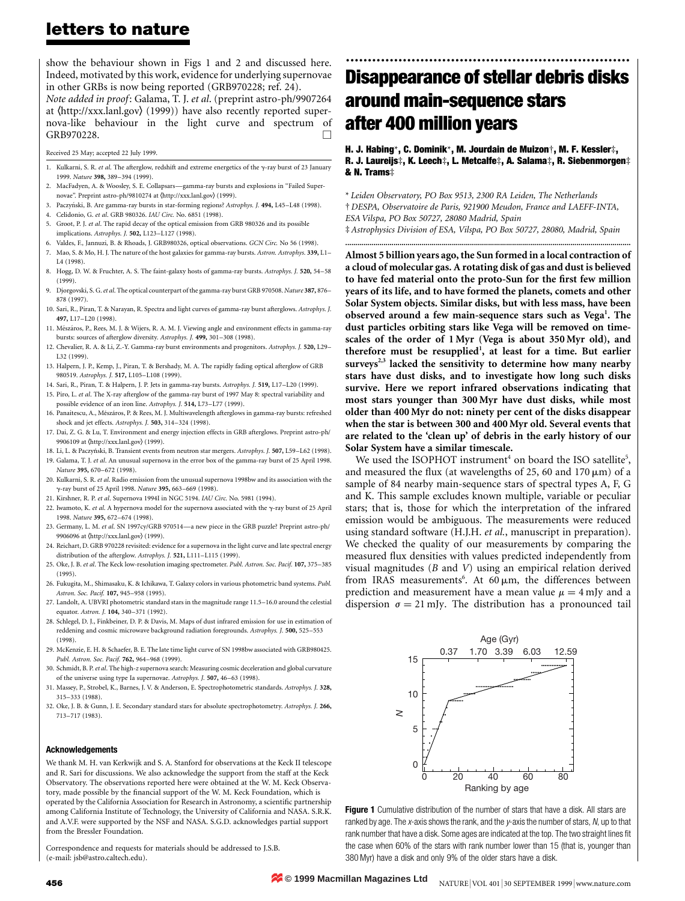### letters to nature

show the behaviour shown in Figs 1 and 2 and discussed here. Indeed, motivated by this work, evidence for underlying supernovae in other GRBs is now being reported (GRB970228; ref. 24).

Note added in proof: Galama, T. J. et al. (preprint astro-ph/9907264 at  $\langle$ http://xxx.lanl.gov $\rangle$  (1999)) have also recently reported supernova-like behaviour in the light curve and spectrum of GRB970228.

Received 25 May; accepted 22 July 1999.

- 1. Kulkarni, S. R. et al. The afterglow, redshift and extreme energetics of the  $\gamma$ -ray burst of 23 January 1999. Nature 398, 389-394 (1999).
- 2. MacFadyen, A. & Woosley, S. E. Collapsars-gamma-ray bursts and explosions in "Failed Supernovae". Preprint astro-ph/9810274 at (http://xxx.lanl.gov) (1999).
- 3. PaczynÂski, B. Are gamma-ray bursts in star-forming regions? Astrophys. J. 494, L45±L48 (1998).
- 4. Celidonio, G. et al. GRB 980326. IAU Circ. No. 6851 (1998).
- 5. Groot, P. J. et al. The rapid decay of the optical emission from GRB 980326 and its possible implications. Astrophys. J. 502, L123-L127 (1998).
- 6. Valdes, F., Jannuzi, B. & Rhoads, J. GRB980326, optical observations. GCN Circ. No 56 (1998).
- Mao, S. & Mo, H. J. The nature of the host galaxies for gamma-ray bursts. Astron. Astrophys. 339, L1-L4 (1998).
- 8. Hogg, D. W. & Fruchter, A. S. The faint-galaxy hosts of gamma-ray bursts. Astrophys. J. 520, 54-58 (1999).
- 9. Djorgovski, S. G. et al. The optical counterpart of the gamma-ray burst GRB 970508. Nature 387, 876-878 (1997).
- 10. Sari, R., Piran, T. & Narayan, R. Spectra and light curves of gamma-ray burst afterglows. Astrophys. J. 497, L17-L20 (1998).
- 11. Mészáros, P., Rees, M. J. & Wijers, R. A. M. J. Viewing angle and environment effects in gamma-ray bursts: sources of afterglow diversity. Astrophys. J. 499, 301-308 (1998).
- 12. Chevalier, R. A. & Li, Z.-Y. Gamma-ray burst environments and progenitors. Astrophys. J. 520, L29-L<sub>32</sub> (1999)
- 13. Halpern, J. P., Kemp, J., Piran, T. & Bershady, M. A. The rapidly fading optical afterglow of GRB 980519. Astrophys. J. 517, L105-L108 (1999).
- 14. Sari, R., Piran, T. & Halpern, J. P. Jets in gamma-ray bursts. Astrophys. J. 519, L17-L20 (1999).
- 15. Piro, L. et al. The X-ray afterglow of the gamma-ray burst of 1997 May 8: spectral variability and possible evidence of an iron line. Astrophys. J. 514, L73-L77 (1999).
- 16. Panaitescu, A., Mészáros, P. & Rees, M. J. Multiwavelength afterglows in gamma-ray bursts: refreshed shock and jet effects. Astrophys. J. 503, 314-324 (1998).
- 17. Dai, Z. G. & Lu, T. Environment and energy injection effects in GRB afterglows. Preprint astro-ph/ 9906109 at  $\langle$ http://xxx.lanl.gov $\rangle$  (1999).
- 18. Li, L. & Paczyński, B. Transient events from neutron star mergers. Astrophys. J. 507, L59-L62 (1998). 19. Galama, T. J. et al. An unusual supernova in the error box of the gamma-ray burst of 25 April 1998. Nature 395, 670-672 (1998).
- 20. Kulkarni, S. R. et al. Radio emission from the unusual supernova 1998bw and its association with the γ-ray burst of 25 April 1998. Nature 395, 663-669 (1998).
- 21. Kirshner, R. P. et al. Supernova 1994I in NGC 5194. IAU Circ. No. 5981 (1994).
- 22. Iwamoto, K. et al. A hypernova model for the supernova associated with the  $\gamma$ -ray burst of 25 April 1998. Nature 395, 672-674 (1998).
- 23. Germany, L. M. et al. SN 1997cy/GRB 970514-a new piece in the GRB puzzle? Preprint astro-ph/ 9906096 at (http://xxx.lanl.gov) (1999).
- 24. Reichart, D. GRB 970228 revisited: evidence for a supernova in the light curve and late spectral energy distribution of the afterglow. Astrophys. J. 521, L111-L115 (1999).
- 25. Oke, J. B. et al. The Keck low-resolution imaging spectrometer. Publ. Astron. Soc. Pacif. 107, 375-385 (1995).
- 26. Fukugita, M., Shimasaku, K. & Ichikawa, T. Galaxy colors in various photometric band systems. Publ. Astron. Soc. Pacif. 107, 945-958 (1995).
- 27. Landolt, A. UBVRI photometric standard stars in the magnitude range 11.5-16.0 around the celestial equator. Astron. J. 104, 340-371 (1992).
- 28. Schlegel, D. J., Finkbeiner, D. P. & Davis, M. Maps of dust infrared emission for use in estimation of reddening and cosmic microwave background radiation foregrounds. Astrophys. J. 500, 525-553 (1998).
- 29. McKenzie, E. H. & Schaefer, B. E. The late time light curve of SN 1998bw associated with GRB980425. Publ. Astron. Soc. Pacif. **762**, 964-968 (1999).
- 30. Schmidt, B. P.et al. The high-zsupernova search: Measuring cosmic deceleration and global curvature of the universe using type Ia supernovae. Astrophys. J. 507, 46-63 (1998).
- 31. Massey, P., Strobel, K., Barnes, J. V. & Anderson, E. Spectrophotometric standards. Astrophys. J. 328, 315±333 (1988).
- 32. Oke, J. B. & Gunn, J. E. Secondary standard stars for absolute spectrophotometry. Astrophys. J. 266, 713±717 (1983).

#### Acknowledgements

We thank M. H. van Kerkwijk and S. A. Stanford for observations at the Keck II telescope and R. Sari for discussions. We also acknowledge the support from the staff at the Keck Observatory. The observations reported here were obtained at the W. M. Keck Observatory, made possible by the financial support of the W. M. Keck Foundation, which is operated by the California Association for Research in Astronomy, a scientific partnership among California Institute of Technology, the University of California and NASA. S.R.K. and A.V.F. were supported by the NSF and NASA. S.G.D. acknowledges partial support from the Bressler Foundation.

Correspondence and requests for materials should be addressed to J.S.B. (e-mail: jsb@astro.caltech.edu).

# ................................................................. Disappearance of stellar debris disks around main-sequence stars after 400 million years

### H. J. Habing\*, C. Dominik\*, M. Jourdain de Muizon†, M. F. Kessler‡, R. J. Laureijs‡, K. Leech‡, L. Metcalfe‡, A. Salama‡, R. Siebenmorgen‡ & N. Trams‡

\* Leiden Observatory, PO Box 9513, 2300 RA Leiden, The Netherlands ² DESPA, Observatoire de Paris, 921900 Meudon, France and LAEFF-INTA, ESA Vilspa, PO Box 50727, 28080 Madrid, Spain ³ Astrophysics Division of ESA, Vilspa, PO Box 50727, 28080, Madrid, Spain

..............................................................................................................................................

Almost 5 billion years ago, the Sun formed in a local contraction of a cloud of molecular gas. A rotating disk of gas and dust is believed to have fed material onto the proto-Sun for the first few million years of its life, and to have formed the planets, comets and other Solar System objects. Similar disks, but with less mass, have been observed around a few main-sequence stars such as Vega<sup>1</sup>. The dust particles orbiting stars like Vega will be removed on timescales of the order of 1 Myr (Vega is about 350 Myr old), and therefore must be resupplied<sup>1</sup>, at least for a time. But earlier surveys $2,3$  lacked the sensitivity to determine how many nearby stars have dust disks, and to investigate how long such disks survive. Here we report infrared observations indicating that most stars younger than 300 Myr have dust disks, while most older than 400 Myr do not: ninety per cent of the disks disappear when the star is between 300 and 400 Myr old. Several events that are related to the `clean up' of debris in the early history of our Solar System have a similar timescale.

We used the ISOPHOT instrument<sup>4</sup> on board the ISO satellite<sup>5</sup>, and measured the flux (at wavelengths of 25, 60 and 170  $\mu$ m) of a sample of 84 nearby main-sequence stars of spectral types A, F, G and K. This sample excludes known multiple, variable or peculiar stars; that is, those for which the interpretation of the infrared emission would be ambiguous. The measurements were reduced using standard software (H.J.H. et al., manuscript in preparation). We checked the quality of our measurements by comparing the measured flux densities with values predicted independently from visual magnitudes (B and V) using an empirical relation derived from IRAS measurements<sup>6</sup>. At 60  $\mu$ m, the differences between prediction and measurement have a mean value  $\mu = 4$  mJy and a dispersion  $\sigma = 21$  mJy. The distribution has a pronounced tail



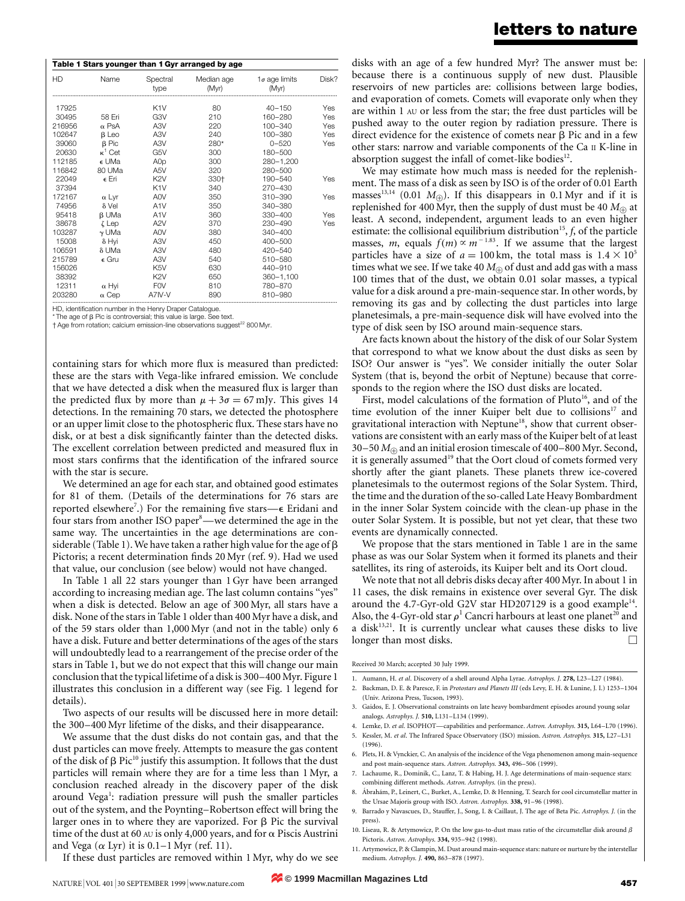| <b>HD</b> | Name           | Spectral<br>type | Median age<br>(Myr) | $1\sigma$ age limits<br>(Myr) | Disk? |
|-----------|----------------|------------------|---------------------|-------------------------------|-------|
|           |                |                  |                     |                               |       |
| 17925     |                | K <sub>1</sub> V | 80                  | $40 - 150$                    | Yes   |
| 30495     | 58 Eri         | G3V              | 210                 | 160-280                       | Yes   |
| 216956    | $\alpha$ PsA   | A <sub>3</sub> V | 220                 | $100 - 340$                   | Yes   |
| 102647    | $\beta$ Leo    | A3V              | 240                 | 100-380                       | Yes   |
| 39060     | $\beta$ Pic    | A3V              | 280*                | $0 - 520$                     | Yes   |
| 20630     | $\kappa^1$ Cet | G5V              | 300                 | 180-500                       |       |
| 112185    | ∈ UMa          | A <sub>O</sub> p | 300                 | 280-1,200                     |       |
| 116842    | 80 UMa         | A5V              | 320                 | 280-500                       |       |
| 22049     | e Eri          | K <sub>2</sub> V | 330+                | 190-540                       | Yes   |
| 37394     |                | K <sub>1</sub> V | 340                 | 270-430                       |       |
| 172167    | $\alpha$ Lyr   | A0V              | 350                 | 310-390                       | Yes   |
| 74956     | $\delta$ Vel   | A <sub>1</sub> V | 350                 | 340-380                       |       |
| 95418     | <b>B</b> UMa   | A1V              | 360                 | $330 - 400$                   | Yes   |
| 38678     | ζLep           | A <sub>2</sub> V | 370                 | 230-490                       | Yes   |
| 103287    | $\gamma$ UMa   | A0V              | 380                 | $340 - 400$                   |       |
| 15008     | $\delta$ Hyi   | A3V              | 450                 | $400 - 500$                   |       |
| 106591    | δUMa           | A <sub>3</sub> V | 480                 | 420-540                       |       |
| 215789    | $\epsilon$ Gru | A <sub>3</sub> V | 540                 | 510-580                       |       |
| 156026    |                | K <sub>5</sub> V | 630                 | 440-910                       |       |
| 38392     |                | K <sub>2</sub> V | 650                 | $360 - 1,100$                 |       |
| 12311     | $\alpha$ Hyi   | <b>FOV</b>       | 810                 | 780-870                       |       |
| 203280    | $\alpha$ Cep   | A7IV-V           | 890                 | 810-980                       |       |

HD, identification number in the Henry Draper Catalogue

 $*$  The age of  $\beta$  Pic is controversial; this value is large. See text.  $\dagger$  Age from rotation; calcium emission-line observations suggest<sup>22</sup> 800 Myr.

containing stars for which more flux is measured than predicted: these are the stars with Vega-like infrared emission. We conclude that we have detected a disk when the measured flux is larger than the predicted flux by more than  $\mu + 3\sigma = 67$  mJy. This gives 14 detections. In the remaining 70 stars, we detected the photosphere or an upper limit close to the photospheric flux. These stars have no disk, or at best a disk significantly fainter than the detected disks. The excellent correlation between predicted and measured flux in most stars confirms that the identification of the infrared source with the star is secure.

We determined an age for each star, and obtained good estimates for 81 of them. (Details of the determinations for 76 stars are reported elsewhere<sup>7</sup>.) For the remaining five stars- $\epsilon$  Eridani and four stars from another ISO paper<sup>8</sup>—we determined the age in the same way. The uncertainties in the age determinations are considerable (Table 1). We have taken a rather high value for the age of  $\beta$ Pictoris; a recent determination finds 20 Myr (ref. 9). Had we used that value, our conclusion (see below) would not have changed.

In Table 1 all 22 stars younger than 1 Gyr have been arranged according to increasing median age. The last column contains "yes" when a disk is detected. Below an age of 300 Myr, all stars have a disk. None of the stars in Table 1 older than 400 Myr have a disk, and of the 59 stars older than 1,000 Myr (and not in the table) only 6 have a disk. Future and better determinations of the ages of the stars will undoubtedly lead to a rearrangement of the precise order of the stars in Table 1, but we do not expect that this will change our main conclusion that the typical lifetime of a disk is 300-400 Myr. Figure 1 illustrates this conclusion in a different way (see Fig. 1 legend for details).

Two aspects of our results will be discussed here in more detail: the 300–400 Myr lifetime of the disks, and their disappearance.

We assume that the dust disks do not contain gas, and that the dust particles can move freely. Attempts to measure the gas content of the disk of  $\beta$  Pic<sup>10</sup> justify this assumption. It follows that the dust particles will remain where they are for a time less than 1 Myr, a conclusion reached already in the discovery paper of the disk around Vega<sup>1</sup>: radiation pressure will push the smaller particles out of the system, and the Poynting–Robertson effect will bring the larger ones in to where they are vaporized. For  $\beta$  Pic the survival time of the dust at 60 AU is only 4,000 years, and for  $\alpha$  Piscis Austrini and Vega  $(\alpha \, \text{Lyr})$  it is 0.1–1 Myr (ref. 11).

disks with an age of a few hundred Myr? The answer must be: because there is a continuous supply of new dust. Plausible reservoirs of new particles are: collisions between large bodies, and evaporation of comets. Comets will evaporate only when they are within 1 AU or less from the star; the free dust particles will be pushed away to the outer region by radiation pressure. There is direct evidence for the existence of comets near  $\beta$  Pic and in a few other stars: narrow and variable components of the Ca II K-line in absorption suggest the infall of comet-like bodies $12$ .

We may estimate how much mass is needed for the replenishment. The mass of a disk as seen by ISO is of the order of 0.01 Earth masses<sup>13,14</sup> (0.01  $M_{\oplus}$ ). If this disappears in 0.1 Myr and if it is replenished for 400 Myr, then the supply of dust must be 40  $M_{\oplus}$  at least. A second, independent, argument leads to an even higher estimate: the collisional equilibrium distribution<sup>15</sup>,  $f$ , of the particle masses, m, equals  $f(m) \propto m^{-1.83}$ . If we assume that the largest particles have a size of  $a = 100 \text{ km}$ , the total mass is  $1.4 \times 10^5$ times what we see. If we take 40  $M_{\oplus}$  of dust and add gas with a mass 100 times that of the dust, we obtain 0.01 solar masses, a typical value for a disk around a pre-main-sequence star. In other words, by removing its gas and by collecting the dust particles into large planetesimals, a pre-main-sequence disk will have evolved into the type of disk seen by ISO around main-sequence stars.

Are facts known about the history of the disk of our Solar System that correspond to what we know about the dust disks as seen by ISO? Our answer is "yes". We consider initially the outer Solar System (that is, beyond the orbit of Neptune) because that corresponds to the region where the ISO dust disks are located.

First, model calculations of the formation of Pluto<sup>16</sup>, and of the time evolution of the inner Kuiper belt due to collisions<sup>17</sup> and gravitational interaction with Neptune<sup>18</sup>, show that current observations are consistent with an early mass of the Kuiper belt of at least 30–50  $M_{\oplus}$  and an initial erosion timescale of 400–800 Myr. Second, it is generally assumed<sup>19</sup> that the Oort cloud of comets formed very shortly after the giant planets. These planets threw ice-covered planetesimals to the outermost regions of the Solar System. Third, the time and the duration of the so-called Late Heavy Bombardment in the inner Solar System coincide with the clean-up phase in the outer Solar System. It is possible, but not yet clear, that these two events are dynamically connected.

We propose that the stars mentioned in Table 1 are in the same phase as was our Solar System when it formed its planets and their satellites, its ring of asteroids, its Kuiper belt and its Oort cloud.

We note that not all debris disks decay after 400 Myr. In about 1 in 11 cases, the disk remains in existence over several Gyr. The disk around the 4.7-Gyr-old G2V star HD207129 is a good example<sup>14</sup>. Also, the 4-Gyr-old star  $\rho^1$  Cancri harbours at least one planet<sup>20</sup> and a disk<sup>13,21</sup>. It is currently unclear what causes these disks to live longer than most disks.  $\Box$ 

Received 30 March; accepted 30 July 1999.

- 1. Aumann, H. et al. Discovery of a shell around Alpha Lyrae. Astrophys. J. 278, L23-L27 (1984).
- 2. Backman, D. E. & Paresce, F. in Protostars and Planets III (eds Levy, E. H. & Lunine, J. I.) 1253-1304 (Univ. Arizona Press, Tucson, 1993).
- 3. Gaidos, E. J. Observational constraints on late heavy bombardment episodes around young solar analogs. Astrophys. J. 510, L131-L134 (1999).
- 4. Lemke, D. et al. ISOPHOT—capabilities and performance. Astron. Astrophys. 315, L64-L70 (1996).
- 5. Kessler, M. et al. The Infrared Space Observatory (ISO) mission. Astron. Astrophys. 315, L27-L31  $(1996)$
- 6. Plets, H. & Vynckier, C. An analysis of the incidence of the Vega phenomenon among main-sequence and post main-sequence stars. Astron. Astrophys. 343, 496-506 (1999).
- 7. Lachaume, R., Dominik, C., Lanz, T. & Habing, H. J. Age determinations of main-sequence stars: combining different methods. Astron. Astrophys. (in the press).
- 8. Ábrahám, P., Leinert, C., Burket, A., Lemke, D. & Henning, T. Search for cool circumstellar matter in the Ursae Majoris group with ISO. Astron. Astrophys. 338, 91-96 (1998).
- 9. Barrado y Navascues, D., Stauffer, J., Song, I. & Caillaut, J. The age of Beta Pic. Astrophys. J. (in the press).
- 10. Liseau, R. & Artymowicz, P. On the low gas-to-dust mass ratio of the circumstellar disk around b Pictoris. Astron. Astrophys. 334, 935-942 (1998).
- 11. Artymowicz, P. & Clampin, M. Dust around main-sequence stars: nature or nurture by the interstellar medium. Astrophys. J. 490, 863-878 (1997).

If these dust particles are removed within 1 Myr, why do we see